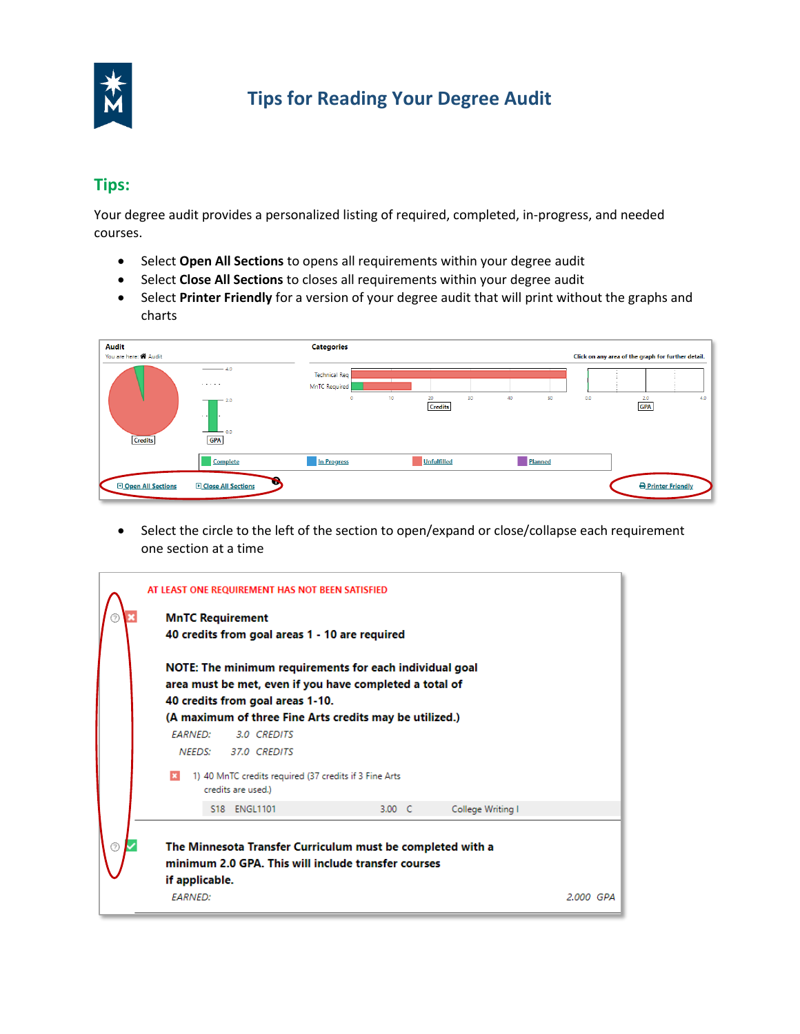

## **Tips for Reading Your Degree Audit**

## **Tips:**

Your degree audit provides a personalized listing of required, completed, in-progress, and needed courses.

- Select **Open All Sections** to opens all requirements within your degree audit
- Select **Close All Sections** to closes all requirements within your degree audit
- • Select **Printer Friendly** for a version of your degree audit that will print without the graphs and charts

| <b>Audit</b><br>You are here: <<<A Audit |                                                                                                                  | <b>Categories</b>                                |                                  |          |     | Click on any area of the graph for further detail. |
|------------------------------------------|------------------------------------------------------------------------------------------------------------------|--------------------------------------------------|----------------------------------|----------|-----|----------------------------------------------------|
| <b>Credits</b>                           | $\longrightarrow$ 4.0<br><b>Service</b><br>$-2.0$<br>$\sim$ $\sim$<br>$\overline{\phantom{0}}$ 0.0<br><b>GPA</b> | <b>Technical Req</b><br>MnTC Required<br>$\circ$ | 30<br>20<br>10<br><b>Credits</b> | 40<br>50 | 0.0 | 2.0<br>4.0<br><b>GPA</b>                           |
|                                          | Complete                                                                                                         | In Progress                                      | <b>Unfulfilled</b>               | Planned  |     |                                                    |
| Open All Sections                        | <b>D</b> Close All Sections                                                                                      |                                                  |                                  |          |     | Printer Friendly                                   |

• Select the circle to the left of the section to open/expand or close/collapse each requirement one section at a time

| AT LEAST ONE REQUIREMENT HAS NOT BEEN SATISFIED                                                                                                                                                                   |           |
|-------------------------------------------------------------------------------------------------------------------------------------------------------------------------------------------------------------------|-----------|
| <b>MnTC Requirement</b><br>40 credits from goal areas 1 - 10 are required                                                                                                                                         |           |
| NOTE: The minimum requirements for each individual goal<br>area must be met, even if you have completed a total of<br>40 credits from goal areas 1-10.<br>(A maximum of three Fine Arts credits may be utilized.) |           |
| <b>FARNED:</b><br>3.0 CREDITS                                                                                                                                                                                     |           |
| 37.0 CREDITS<br>NEEDS:                                                                                                                                                                                            |           |
| 1) 40 MnTC credits required (37 credits if 3 Fine Arts<br>credits are used.)                                                                                                                                      |           |
| S18 ENGL1101<br>3.00 C<br>College Writing I                                                                                                                                                                       |           |
| The Minnesota Transfer Curriculum must be completed with a<br>minimum 2.0 GPA. This will include transfer courses<br>if applicable.<br><b>FARNED:</b>                                                             | 2.000 GPA |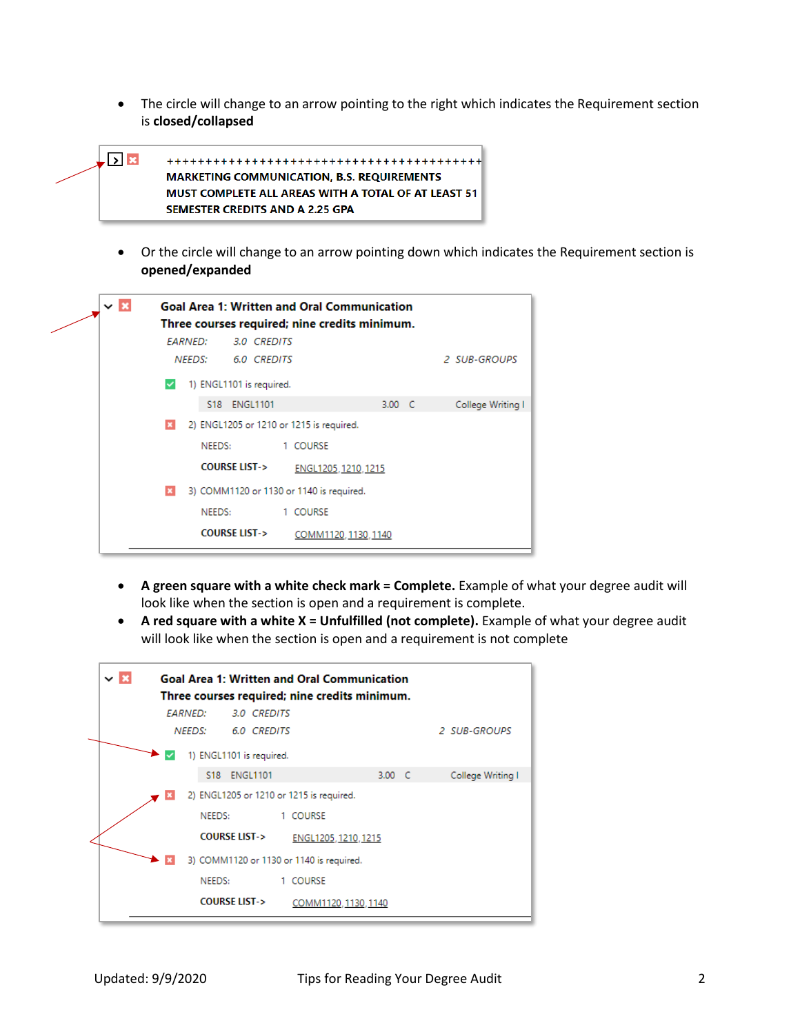• The circle will change to an arrow pointing to the right which indicates the Requirement section is **closed/collapsed** 



• Or the circle will change to an arrow pointing down which indicates the Requirement section is **opened/expanded** 



- **A green square with a white check mark = Complete.** Example of what your degree audit will look like when the section is open and a requirement is complete.
- **A red square with a white X = Unfulfilled (not complete).** Example of what your degree audit will look like when the section is open and a requirement is not complete